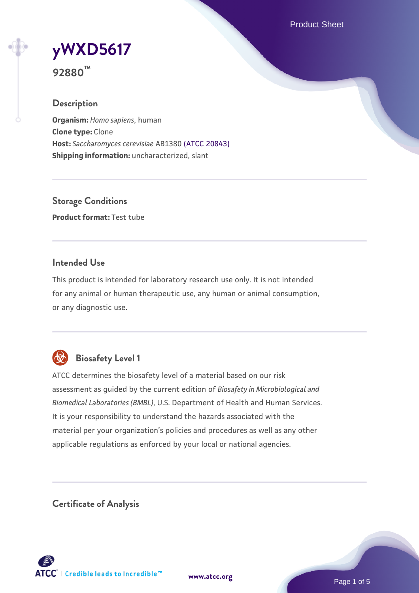Product Sheet

# **[yWXD5617](https://www.atcc.org/products/92880)**

**92880™**

# **Description**

**Organism:** *Homo sapiens*, human **Clone type:** Clone **Host:** *Saccharomyces cerevisiae* AB1380 [\(ATCC 20843\)](https://www.atcc.org/products/20843) **Shipping information:** uncharacterized, slant

**Storage Conditions Product format:** Test tube

## **Intended Use**

This product is intended for laboratory research use only. It is not intended for any animal or human therapeutic use, any human or animal consumption, or any diagnostic use.



# **Biosafety Level 1**

ATCC determines the biosafety level of a material based on our risk assessment as guided by the current edition of *Biosafety in Microbiological and Biomedical Laboratories (BMBL)*, U.S. Department of Health and Human Services. It is your responsibility to understand the hazards associated with the material per your organization's policies and procedures as well as any other applicable regulations as enforced by your local or national agencies.

**Certificate of Analysis**

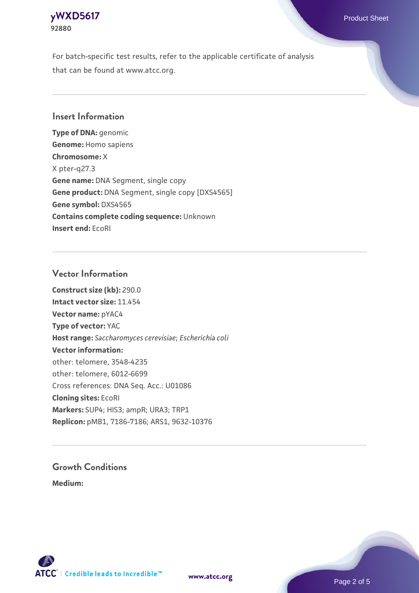

For batch-specific test results, refer to the applicable certificate of analysis that can be found at www.atcc.org.

#### **Insert Information**

**Type of DNA:** genomic **Genome:** Homo sapiens **Chromosome:** X X pter-q27.3 **Gene name:** DNA Segment, single copy **Gene product:** DNA Segment, single copy [DXS4565] **Gene symbol:** DXS4565 **Contains complete coding sequence:** Unknown **Insert end:** EcoRI

#### **Vector Information**

**Construct size (kb):** 290.0 **Intact vector size:** 11.454 **Vector name:** pYAC4 **Type of vector:** YAC **Host range:** *Saccharomyces cerevisiae*; *Escherichia coli* **Vector information:** other: telomere, 3548-4235 other: telomere, 6012-6699 Cross references: DNA Seq. Acc.: U01086 **Cloning sites:** EcoRI **Markers:** SUP4; HIS3; ampR; URA3; TRP1 **Replicon:** pMB1, 7186-7186; ARS1, 9632-10376

# **Growth Conditions**

**Medium:** 



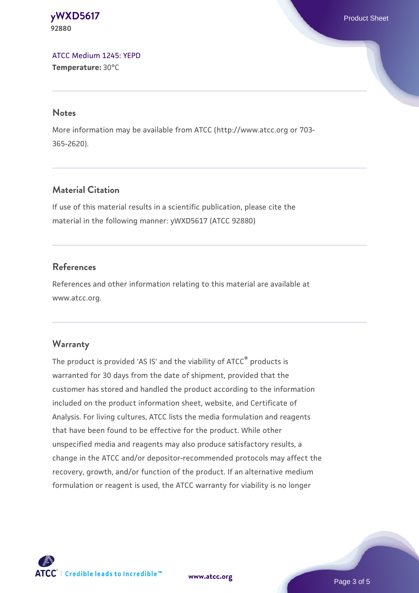**[yWXD5617](https://www.atcc.org/products/92880)** Product Sheet **92880**

[ATCC Medium 1245: YEPD](https://www.atcc.org/-/media/product-assets/documents/microbial-media-formulations/1/2/4/5/atcc-medium-1245.pdf?rev=705ca55d1b6f490a808a965d5c072196) **Temperature:** 30°C

#### **Notes**

More information may be available from ATCC (http://www.atcc.org or 703- 365-2620).

### **Material Citation**

If use of this material results in a scientific publication, please cite the material in the following manner: yWXD5617 (ATCC 92880)

#### **References**

References and other information relating to this material are available at www.atcc.org.

#### **Warranty**

The product is provided 'AS IS' and the viability of ATCC® products is warranted for 30 days from the date of shipment, provided that the customer has stored and handled the product according to the information included on the product information sheet, website, and Certificate of Analysis. For living cultures, ATCC lists the media formulation and reagents that have been found to be effective for the product. While other unspecified media and reagents may also produce satisfactory results, a change in the ATCC and/or depositor-recommended protocols may affect the recovery, growth, and/or function of the product. If an alternative medium formulation or reagent is used, the ATCC warranty for viability is no longer



**[www.atcc.org](http://www.atcc.org)**

Page 3 of 5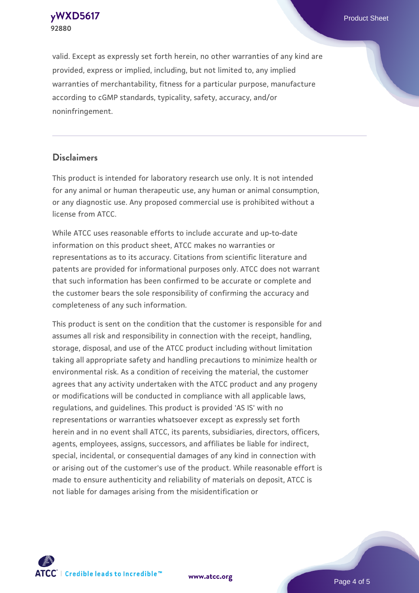**[yWXD5617](https://www.atcc.org/products/92880)** Product Sheet **92880**

valid. Except as expressly set forth herein, no other warranties of any kind are provided, express or implied, including, but not limited to, any implied warranties of merchantability, fitness for a particular purpose, manufacture according to cGMP standards, typicality, safety, accuracy, and/or noninfringement.

#### **Disclaimers**

This product is intended for laboratory research use only. It is not intended for any animal or human therapeutic use, any human or animal consumption, or any diagnostic use. Any proposed commercial use is prohibited without a license from ATCC.

While ATCC uses reasonable efforts to include accurate and up-to-date information on this product sheet, ATCC makes no warranties or representations as to its accuracy. Citations from scientific literature and patents are provided for informational purposes only. ATCC does not warrant that such information has been confirmed to be accurate or complete and the customer bears the sole responsibility of confirming the accuracy and completeness of any such information.

This product is sent on the condition that the customer is responsible for and assumes all risk and responsibility in connection with the receipt, handling, storage, disposal, and use of the ATCC product including without limitation taking all appropriate safety and handling precautions to minimize health or environmental risk. As a condition of receiving the material, the customer agrees that any activity undertaken with the ATCC product and any progeny or modifications will be conducted in compliance with all applicable laws, regulations, and guidelines. This product is provided 'AS IS' with no representations or warranties whatsoever except as expressly set forth herein and in no event shall ATCC, its parents, subsidiaries, directors, officers, agents, employees, assigns, successors, and affiliates be liable for indirect, special, incidental, or consequential damages of any kind in connection with or arising out of the customer's use of the product. While reasonable effort is made to ensure authenticity and reliability of materials on deposit, ATCC is not liable for damages arising from the misidentification or



**[www.atcc.org](http://www.atcc.org)**

Page 4 of 5